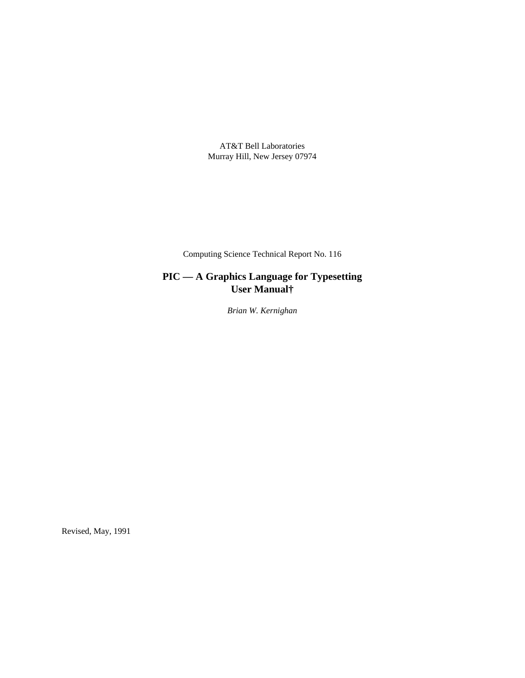AT&T Bell Laboratories Murray Hill, New Jersey 07974

Computing Science Technical Report No. 116

# **PIC — A Graphics Language for Typesetting User Manual†**

*Brian W. Kernighan*

Revised, May, 1991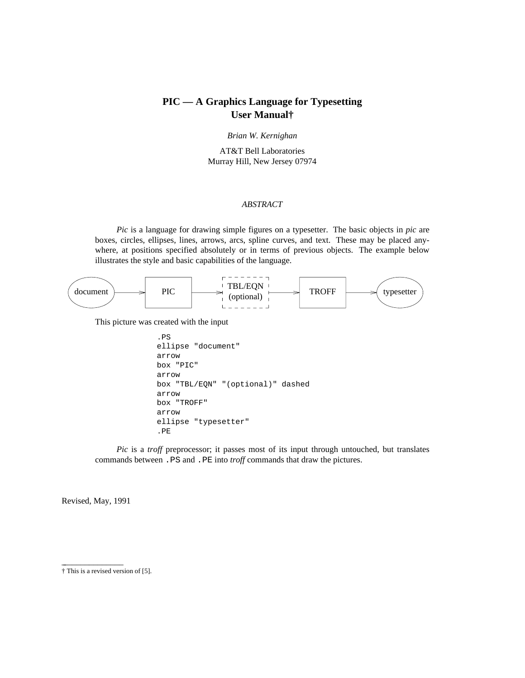## **PIC — A Graphics Language for Typesetting User Manual†**

*Brian W. Kernighan*

AT&T Bell Laboratories Murray Hill, New Jersey 07974

## *ABSTRACT*

*Pic* is a language for drawing simple figures on a typesetter. The basic objects in *pic* are boxes, circles, ellipses, lines, arrows, arcs, spline curves, and text. These may be placed anywhere, at positions specified absolutely or in terms of previous objects. The example below illustrates the style and basic capabilities of the language.



This picture was created with the input

```
.PS
ellipse "document"
arrow
box "PIC"
arrow
box "TBL/EQN" "(optional)" dashed
arrow
box "TROFF"
arrow
ellipse "typesetter"
.PE
```
*Pic* is a *troff* preprocessor; it passes most of its input through untouched, but translates commands between .PS and .PE into *troff* commands that draw the pictures.

Revised, May, 1991

\_\_\_\_\_\_\_\_\_\_\_\_\_\_\_

<sup>†</sup> This is a revised version of [5].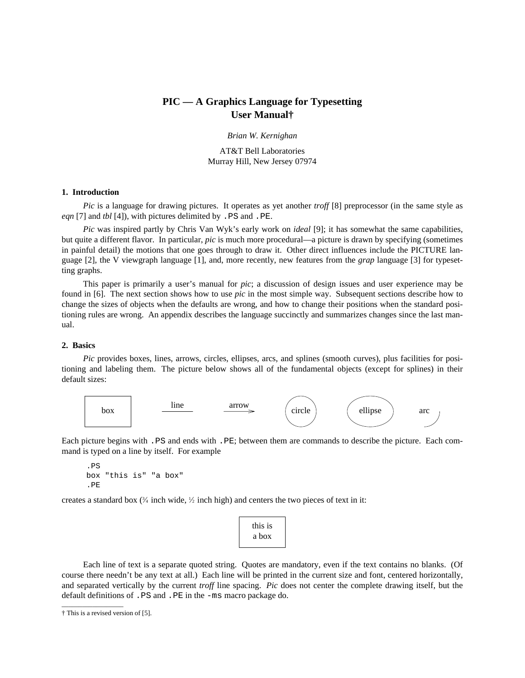## **PIC — A Graphics Language for Typesetting User Manual†**

*Brian W. Kernighan*

AT&T Bell Laboratories Murray Hill, New Jersey 07974

## **1. Introduction**

*Pic* is a language for drawing pictures. It operates as yet another *troff* [8] preprocessor (in the same style as *eqn* [7] and *tbl* [4]), with pictures delimited by .PS and .PE.

*Pic* was inspired partly by Chris Van Wyk's early work on *ideal* [9]; it has somewhat the same capabilities, but quite a different flavor. In particular, *pic* is much more procedural—a picture is drawn by specifying (sometimes in painful detail) the motions that one goes through to draw it. Other direct influences include the PICTURE language [2], the V viewgraph language [1], and, more recently, new features from the *grap* language [3] for typesetting graphs.

This paper is primarily a user's manual for *pic*; a discussion of design issues and user experience may be found in [6]. The next section shows how to use *pic* in the most simple way. Subsequent sections describe how to change the sizes of objects when the defaults are wrong, and how to change their positions when the standard positioning rules are wrong. An appendix describes the language succinctly and summarizes changes since the last manual.

### **2. Basics**

*Pic* provides boxes, lines, arrows, circles, ellipses, arcs, and splines (smooth curves), plus facilities for positioning and labeling them. The picture below shows all of the fundamental objects (except for splines) in their default sizes:



Each picture begins with .PS and ends with .PE; between them are commands to describe the picture. Each command is typed on a line by itself. For example

```
.PS
box "this is" "a box"
.PE
```
creates a standard box  $(3/4 \text{ inch wide}, \frac{1}{2} \text{ inch high})$  and centers the two pieces of text in it:



Each line of text is a separate quoted string. Quotes are mandatory, even if the text contains no blanks. (Of course there needn't be any text at all.) Each line will be printed in the current size and font, centered horizontally, and separated vertically by the current *troff* line spacing. *Pic* does not center the complete drawing itself, but the default definitions of .PS and .PE in the -ms macro package do.

 $\overline{\phantom{a}}$  , where  $\overline{\phantom{a}}$  , where  $\overline{\phantom{a}}$  , where  $\overline{\phantom{a}}$ 

<sup>†</sup> This is a revised version of [5].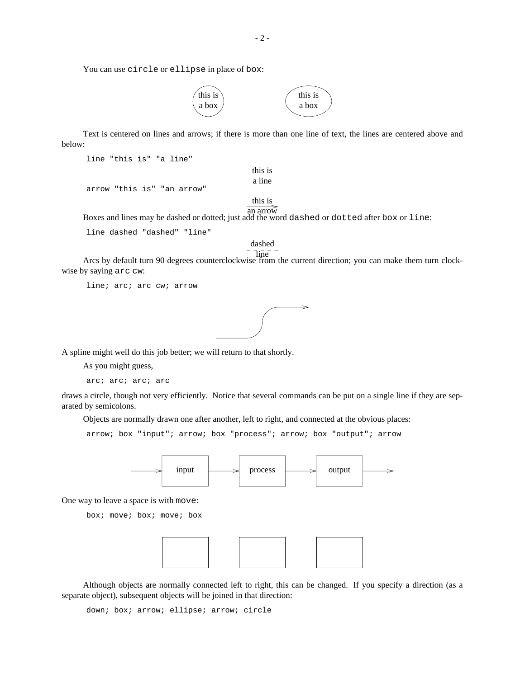You can use circle or ellipse in place of box:



Text is centered on lines and arrows; if there is more than one line of text, the lines are centered above and below:

> this is a line

```
line "this is" "a line"
```
arrow "this is" "an arrow"

this is

an arrow Boxes and lines may be dashed or dotted; just add the word dashed or dotted after box or line:

line dashed "dashed" "line"

dashed line

Arcs by default turn 90 degrees counterclockwise from the current direction; you can make them turn clockwise by saying arc cw:

line; arc; arc cw; arrow



A spline might well do this job better; we will return to that shortly.

As you might guess,

arc; arc; arc; arc

draws a circle, though not very efficiently. Notice that several commands can be put on a single line if they are separated by semicolons.

Objects are normally drawn one after another, left to right, and connected at the obvious places:

arrow; box "input"; arrow; box "process"; arrow; box "output"; arrow



One way to leave a space is with move:

box; move; box; move; box



Although objects are normally connected left to right, this can be changed. If you specify a direction (as a separate object), subsequent objects will be joined in that direction:

down; box; arrow; ellipse; arrow; circle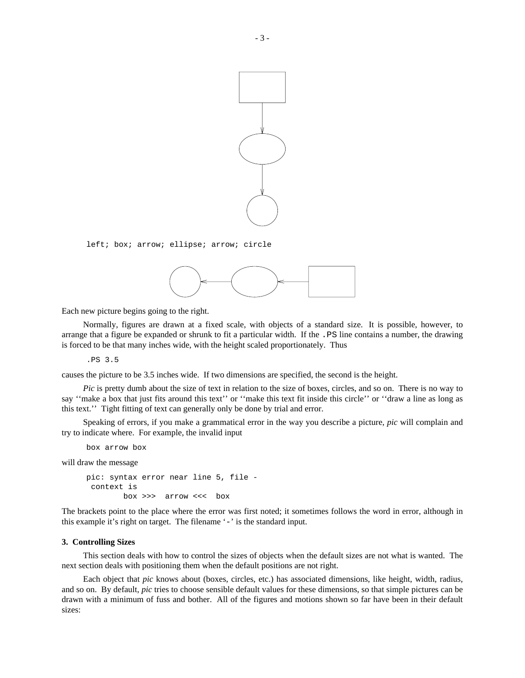

left; box; arrow; ellipse; arrow; circle



Each new picture begins going to the right.

Normally, figures are drawn at a fixed scale, with objects of a standard size. It is possible, however, to arrange that a figure be expanded or shrunk to fit a particular width. If the . PS line contains a number, the drawing is forced to be that many inches wide, with the height scaled proportionately. Thus

.PS 3.5

causes the picture to be 3.5 inches wide. If two dimensions are specified, the second is the height.

*Pic* is pretty dumb about the size of text in relation to the size of boxes, circles, and so on. There is no way to say ''make a box that just fits around this text'' or ''make this text fit inside this circle'' or ''draw a line as long as this text.'' Tight fitting of text can generally only be done by trial and error.

Speaking of errors, if you make a grammatical error in the way you describe a picture, *pic* will complain and try to indicate where. For example, the invalid input

box arrow box

will draw the message

```
pic: syntax error near line 5, file -
 context is
       box >>> arrow <<< box
```
The brackets point to the place where the error was first noted; it sometimes follows the word in error, although in this example it's right on target. The filename '-' is the standard input.

## **3. Controlling Sizes**

This section deals with how to control the sizes of objects when the default sizes are not what is wanted. The next section deals with positioning them when the default positions are not right.

Each object that *pic* knows about (boxes, circles, etc.) has associated dimensions, like height, width, radius, and so on. By default, *pic* tries to choose sensible default values for these dimensions, so that simple pictures can be drawn with a minimum of fuss and bother. All of the figures and motions shown so far have been in their default sizes: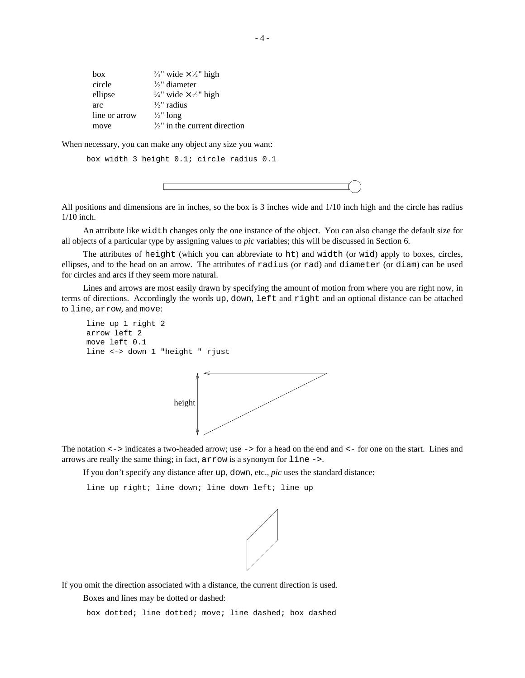| <b>box</b>    | $\frac{3}{4}$ " wide $\times \frac{1}{2}$ " high |
|---------------|--------------------------------------------------|
| circle        | $\frac{1}{2}$ " diameter                         |
| ellipse       | $\frac{3}{4}$ " wide $\times \frac{1}{2}$ " high |
| arc           | $\frac{1}{2}$ " radius                           |
| line or arrow | $\frac{1}{2}$ " long                             |
| move          | $\frac{1}{2}$ " in the current direction         |

When necessary, you can make any object any size you want:

box width 3 height 0.1; circle radius 0.1

All positions and dimensions are in inches, so the box is 3 inches wide and 1/10 inch high and the circle has radius 1/10 inch.

An attribute like width changes only the one instance of the object. You can also change the default size for all objects of a particular type by assigning values to *pic* variables; this will be discussed in Section 6.

The attributes of height (which you can abbreviate to ht) and width (or wid) apply to boxes, circles, ellipses, and to the head on an arrow. The attributes of radius (or rad) and diameter (or diam) can be used for circles and arcs if they seem more natural.

Lines and arrows are most easily drawn by specifying the amount of motion from where you are right now, in terms of directions. Accordingly the words up, down, left and right and an optional distance can be attached to line, arrow, and move:

```
line up 1 right 2
arrow left 2
move left 0.1
line <-> down 1 "height " rjust
```


The notation <-> indicates a two-headed arrow; use -> for a head on the end and <- for one on the start. Lines and arrows are really the same thing; in fact, arrow is a synonym for line ->.

If you don't specify any distance after up, down, etc., *pic* uses the standard distance:

line up right; line down; line down left; line up



If you omit the direction associated with a distance, the current direction is used.

Boxes and lines may be dotted or dashed:

box dotted; line dotted; move; line dashed; box dashed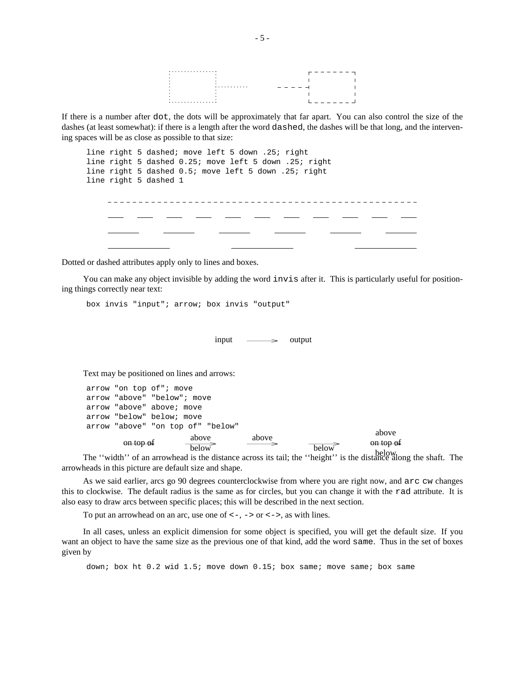

If there is a number after dot, the dots will be approximately that far apart. You can also control the size of the dashes (at least somewhat): if there is a length after the word dashed, the dashes will be that long, and the intervening spaces will be as close as possible to that size:

|  | line right 5 dashed; move left 5 down .25; right      |  |  |  |  |  |
|--|-------------------------------------------------------|--|--|--|--|--|
|  | line right 5 dashed 0.25; move left 5 down .25; right |  |  |  |  |  |
|  | line right 5 dashed 0.5; move left 5 down .25; right  |  |  |  |  |  |
|  | line right 5 dashed 1                                 |  |  |  |  |  |
|  |                                                       |  |  |  |  |  |
|  |                                                       |  |  |  |  |  |
|  |                                                       |  |  |  |  |  |
|  |                                                       |  |  |  |  |  |
|  |                                                       |  |  |  |  |  |
|  |                                                       |  |  |  |  |  |
|  |                                                       |  |  |  |  |  |

Dotted or dashed attributes apply only to lines and boxes.

You can make any object invisible by adding the word invis after it. This is particularly useful for positioning things correctly near text:

box invis "input"; arrow; box invis "output"

 $\quad \longrightarrow \quad \text{output}$ 

Text may be positioned on lines and arrows:

```
arrow "on top of"; move
arrow "above" "below"; move
arrow "above" above; move
arrow "below" below; move
arrow "above" "on top of" "below"
        \theta on top of \theta above
                        below
                                       above
                                                      below
                                                                     above
                                                                   on top of
```
below The ''width'' of an arrowhead is the distance across its tail; the ''height'' is the distance along the shaft. The arrowheads in this picture are default size and shape.

As we said earlier, arcs go 90 degrees counterclockwise from where you are right now, and arc cw changes this to clockwise. The default radius is the same as for circles, but you can change it with the rad attribute. It is also easy to draw arcs between specific places; this will be described in the next section.

To put an arrowhead on an arc, use one of  $\langle -,-\rangle$  or  $\langle -\rangle$ , as with lines.

In all cases, unless an explicit dimension for some object is specified, you will get the default size. If you want an object to have the same size as the previous one of that kind, add the word same. Thus in the set of boxes given by

down; box ht 0.2 wid 1.5; move down 0.15; box same; move same; box same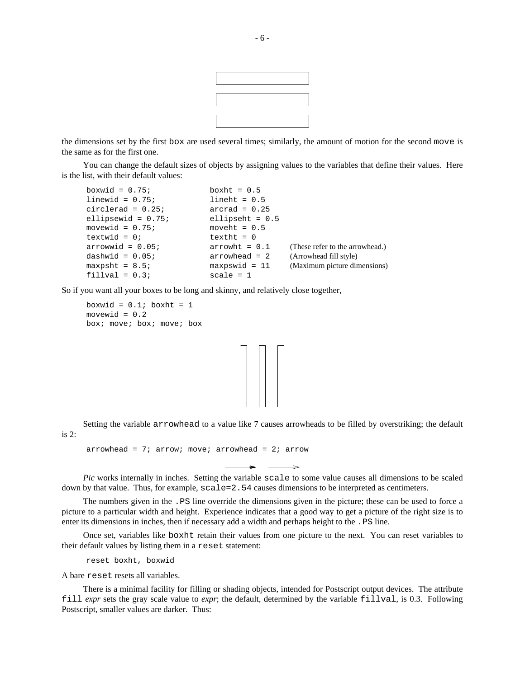

the dimensions set by the first box are used several times; similarly, the amount of motion for the second move is the same as for the first one.

You can change the default sizes of objects by assigning values to the variables that define their values. Here is the list, with their default values:

| boxwid = $0.75$ ;     | boxht = $0.5$     |                                 |
|-----------------------|-------------------|---------------------------------|
| linewid = $0.75$ ;    | $line$ ht = 0.5   |                                 |
| circlerad = $0.25$ ;  | $\arctan = 0.25$  |                                 |
| ellipsewid = $0.75$ ; | ellipseht = $0.5$ |                                 |
| movewid = $0.75$ ;    | moveht = $0.5$    |                                 |
| textwid = $0;$        | $textbf{t} = 0$   |                                 |
| $arrow$ = 0.05;       | $arrow$ = $0.1$   | (These refer to the arrowhead.) |
| dashwid = $0.05$ ;    | $arrowhead = 2$   | (Arrowhead fill style)          |
| $maxpsht = 8.57$      | $maxpswid = 11$   | (Maximum picture dimensions)    |
| $fillval = 0.3;$      | $scale = 1$       |                                 |

So if you want all your boxes to be long and skinny, and relatively close together,

boxwid =  $0.1$ ; boxht = 1 movewid =  $0.2$ box; move; box; move; box



Setting the variable arrowhead to a value like 7 causes arrowheads to be filled by overstriking; the default is 2:

arrowhead =  $7$ ; arrow; move; arrowhead =  $2$ ; arrow

*Pic* works internally in inches. Setting the variable scale to some value causes all dimensions to be scaled down by that value. Thus, for example, scale=2.54 causes dimensions to be interpreted as centimeters.

The numbers given in the .PS line override the dimensions given in the picture; these can be used to force a picture to a particular width and height. Experience indicates that a good way to get a picture of the right size is to enter its dimensions in inches, then if necessary add a width and perhaps height to the .PS line.

Once set, variables like boxht retain their values from one picture to the next. You can reset variables to their default values by listing them in a reset statement:

reset boxht, boxwid

A bare reset resets all variables.

There is a minimal facility for filling or shading objects, intended for Postscript output devices. The attribute fill *expr* sets the gray scale value to *expr*; the default, determined by the variable fillval, is 0.3. Following Postscript, smaller values are darker. Thus: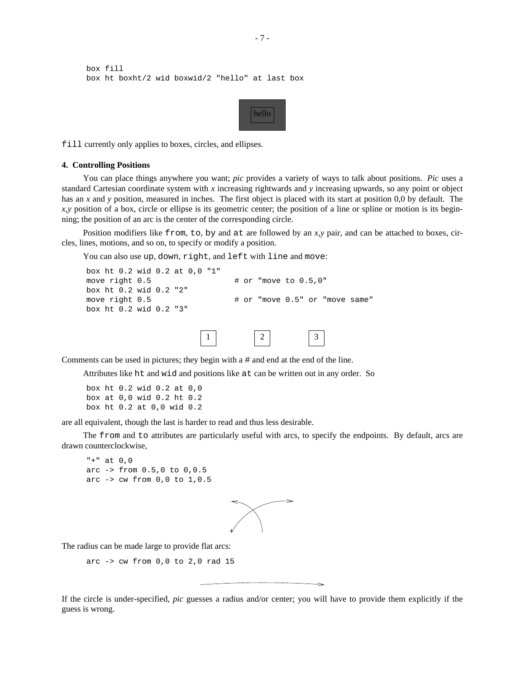```
box fill
box ht boxht/2 wid boxwid/2 "hello" at last box
```


fill currently only applies to boxes, circles, and ellipses.

#### **4. Controlling Positions**

You can place things anywhere you want; *pic* provides a variety of ways to talk about positions. *Pic* uses a standard Cartesian coordinate system with *x* increasing rightwards and *y* increasing upwards, so any point or object has an *x* and *y* position, measured in inches. The first object is placed with its start at position 0,0 by default. The *x,y* position of a box, circle or ellipse is its geometric center; the position of a line or spline or motion is its beginning; the position of an arc is the center of the corresponding circle.

Position modifiers like from, to, by and at are followed by an *x,y* pair, and can be attached to boxes, circles, lines, motions, and so on, to specify or modify a position.

You can also use up, down, right, and left with line and move:

```
box ht 0.2 wid 0.2 at 0,0 "1"
move right 0.5 \qquad \qquad \qquad \qquad \qquad \qquad \qquad \qquad \qquad \qquad \qquad \qquad \qquad \qquad \qquad \qquad \qquad \qquad \qquad \qquad \qquad \qquad \qquad \qquad \qquad \qquad \qquad \qquad \qquad \qquad \qquad \qquad \qquad \qquad 
box ht 0.2 wid 0.2 "2"
move right 0.5 \qquad # or "move 0.5" or "move same"
box ht 0.2 wid 0.2 "3"
                                                  1 \mid \mid 2 \mid \mid 3
```
Comments can be used in pictures; they begin with a # and end at the end of the line.

Attributes like ht and wid and positions like at can be written out in any order. So

box ht 0.2 wid 0.2 at 0,0 box at 0,0 wid 0.2 ht 0.2 box ht 0.2 at 0,0 wid 0.2

are all equivalent, though the last is harder to read and thus less desirable.

The from and to attributes are particularly useful with arcs, to specify the endpoints. By default, arcs are drawn counterclockwise,

```
"+" at 0,0
arc -> from 0.5,0 to 0,0.5
arc -> cw from 0,0 to 1,0.5
```


The radius can be made large to provide flat arcs:

```
arc \rightarrow cw from 0,0 to 2,0 rad 15
```
If the circle is under-specified, *pic* guesses a radius and/or center; you will have to provide them explicitly if the guess is wrong.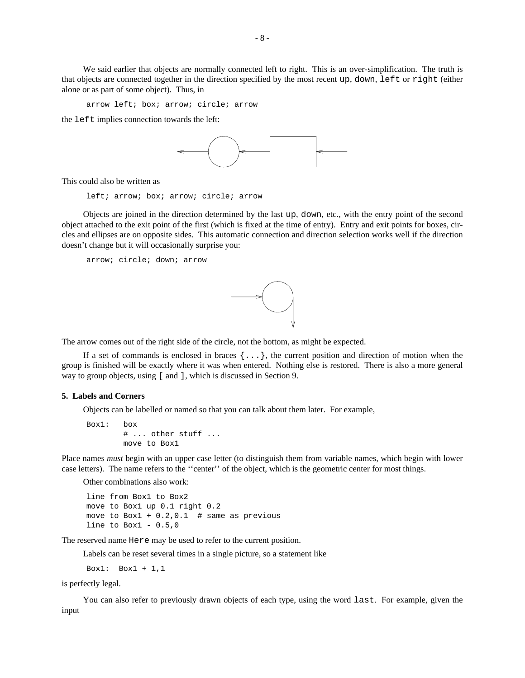We said earlier that objects are normally connected left to right. This is an over-simplification. The truth is that objects are connected together in the direction specified by the most recent up, down, left or right (either alone or as part of some object). Thus, in

arrow left; box; arrow; circle; arrow

the left implies connection towards the left:



This could also be written as

left; arrow; box; arrow; circle; arrow

Objects are joined in the direction determined by the last up, down, etc., with the entry point of the second object attached to the exit point of the first (which is fixed at the time of entry). Entry and exit points for boxes, circles and ellipses are on opposite sides. This automatic connection and direction selection works well if the direction doesn't change but it will occasionally surprise you:

arrow; circle; down; arrow



The arrow comes out of the right side of the circle, not the bottom, as might be expected.

If a set of commands is enclosed in braces  $\{ \ldots \}$ , the current position and direction of motion when the group is finished will be exactly where it was when entered. Nothing else is restored. There is also a more general way to group objects, using [ and ], which is discussed in Section 9.

### **5. Labels and Corners**

Objects can be labelled or named so that you can talk about them later. For example,

```
Box1: box
        # ... other stuff ...
       move to Box1
```
Place names *must* begin with an upper case letter (to distinguish them from variable names, which begin with lower case letters). The name refers to the ''center'' of the object, which is the geometric center for most things.

Other combinations also work:

```
line from Box1 to Box2
move to Box1 up 0.1 right 0.2
move to Box1 + 0.2, 0.1 # same as previous
line to Box1 - 0.5,0
```
The reserved name Here may be used to refer to the current position.

Labels can be reset several times in a single picture, so a statement like

Box1: Box1 + 1,1

is perfectly legal.

You can also refer to previously drawn objects of each type, using the word last. For example, given the input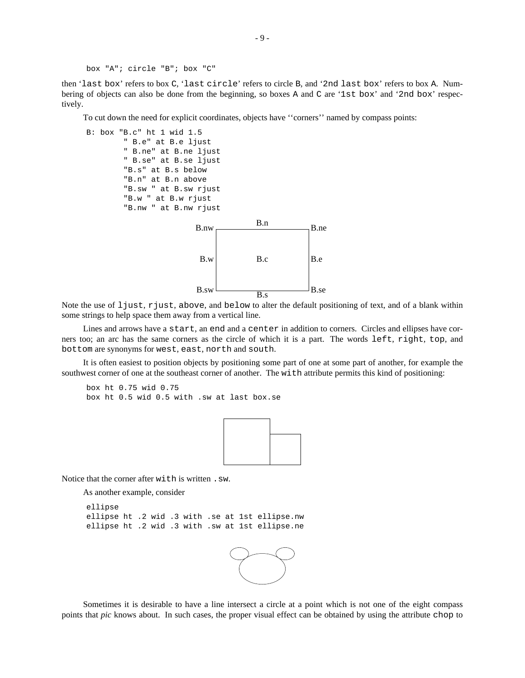```
box "A"; circle "B"; box "C"
```
then 'last box' refers to box C, 'last circle' refers to circle B, and '2nd last box' refers to box A. Numbering of objects can also be done from the beginning, so boxes A and C are '1st box' and '2nd box' respectively.

To cut down the need for explicit coordinates, objects have ''corners'' named by compass points:



Note the use of ljust, rjust, above, and below to alter the default positioning of text, and of a blank within some strings to help space them away from a vertical line.

Lines and arrows have a start, an end and a center in addition to corners. Circles and ellipses have corners too; an arc has the same corners as the circle of which it is a part. The words left, right, top, and bottom are synonyms for west, east, north and south.

It is often easiest to position objects by positioning some part of one at some part of another, for example the southwest corner of one at the southeast corner of another. The with attribute permits this kind of positioning:

```
box ht 0.75 wid 0.75
box ht 0.5 wid 0.5 with .sw at last box.se
```


Notice that the corner after with is written .sw.

As another example, consider

```
ellipse
ellipse ht .2 wid .3 with .se at 1st ellipse.nw
ellipse ht .2 wid .3 with .sw at 1st ellipse.ne
```


Sometimes it is desirable to have a line intersect a circle at a point which is not one of the eight compass points that *pic* knows about. In such cases, the proper visual effect can be obtained by using the attribute chop to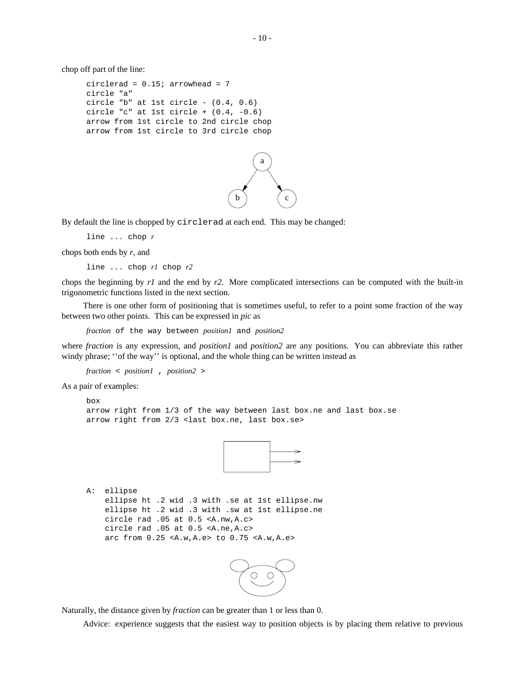chop off part of the line:

```
circlerad = 0.15; arrowhead = 7circle "a"
circle "b" at 1st circle - (0.4, 0.6)
circle "c" at 1st circle + (0.4, -0.6)
arrow from 1st circle to 2nd circle chop
arrow from 1st circle to 3rd circle chop
```


By default the line is chopped by circlerad at each end. This may be changed:

line ... chop *r*

chops both ends by *r*, and

line ... chop *r1* chop *r2*

chops the beginning by *r1* and the end by *r2*. More complicated intersections can be computed with the built-in trigonometric functions listed in the next section.

There is one other form of positioning that is sometimes useful, to refer to a point some fraction of the way between two other points. This can be expressed in *pic* as

*fraction* of the way between *position1* and *position2*

where *fraction* is any expression, and *position1* and *position2* are any positions. You can abbreviate this rather windy phrase; "of the way" is optional, and the whole thing can be written instead as

*fraction* < *position1* , *position2* >

As a pair of examples:

```
box
arrow right from 1/3 of the way between last box.ne and last box.se
arrow right from 2/3 <last box.ne, last box.se>
```


```
A: ellipse
   ellipse ht .2 wid .3 with .se at 1st ellipse.nw
    ellipse ht .2 wid .3 with .sw at 1st ellipse.ne
   circle rad .05 at 0.5 <A.nw,A.c>
   circle rad .05 at 0.5 <A.ne,A.c>
    arc from 0.25 <A.w,A.e> to 0.75 <A.w,A.e>
```


Naturally, the distance given by *fraction* can be greater than 1 or less than 0.

Advice: experience suggests that the easiest way to position objects is by placing them relative to previous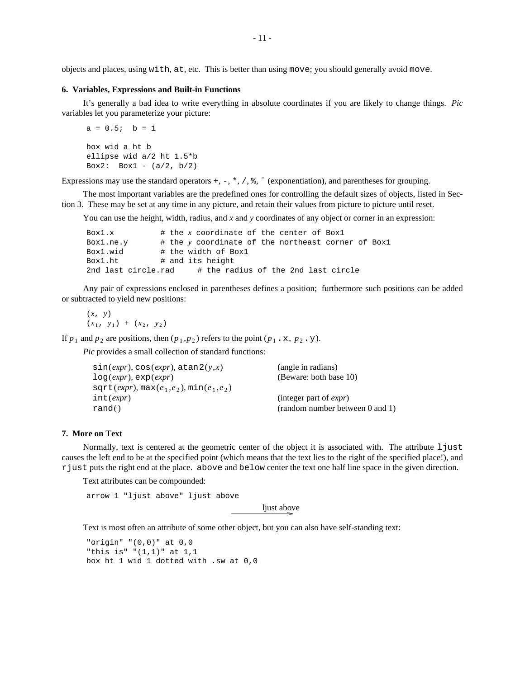objects and places, using with, at, etc. This is better than using move; you should generally avoid move.

#### **6. Variables, Expressions and Built-in Functions**

It's generally a bad idea to write everything in absolute coordinates if you are likely to change things. *Pic* variables let you parameterize your picture:

```
a = 0.5; b = 1box wid a ht b
ellipse wid a/2 ht 1.5*b
Box2: Box1 - (a/2, b/2)
```
Expressions may use the standard operators  $+$ ,  $-$ ,  $*$ ,  $/$ ,  $*$ ,  $\hat{ }$  (exponentiation), and parentheses for grouping.

The most important variables are the predefined ones for controlling the default sizes of objects, listed in Section 3. These may be set at any time in any picture, and retain their values from picture to picture until reset.

You can use the height, width, radius, and *x* and *y* coordinates of any object or corner in an expression:

```
Box1.x \# the x coordinate of the center of Box1
Box1.ne.y # the y coordinate of the northeast corner of Box1
Box1.wid # the width of Box1
Box1.ht # and its height
2nd last circle.rad # the radius of the 2nd last circle
```
Any pair of expressions enclosed in parentheses defines a position; furthermore such positions can be added or subtracted to yield new positions:

(*x*, *y*)  $(x_1, y_1) + (x_2, y_2)$ 

If  $p_1$  and  $p_2$  are positions, then  $(p_1, p_2)$  refers to the point  $(p_1, x, p_2, y)$ .

*Pic* provides a small collection of standard functions:

| sin(exp), cos(exp), atan2(y,x)              | (angle in radians)              |
|---------------------------------------------|---------------------------------|
| $log(exp)$ , $exp(exp)$                     | (Beware: both base 10)          |
| $sqrt(exp), \max(e_1, e_2), \min(e_1, e_2)$ |                                 |
| int(exp)                                    | (integer part of <i>expr</i> )  |
| rand()                                      | (random number between 0 and 1) |

## **7. More on Text**

Normally, text is centered at the geometric center of the object it is associated with. The attribute 1 just causes the left end to be at the specified point (which means that the text lies to the right of the specified place!), and rjust puts the right end at the place. above and below center the text one half line space in the given direction.

Text attributes can be compounded:

arrow 1 "ljust above" ljust above

ljust above

Text is most often an attribute of some other object, but you can also have self-standing text:

```
"origin" "(0,0)" at 0,0
"this is" "(1,1)" at 1,1
box ht 1 wid 1 dotted with .sw at 0,0
```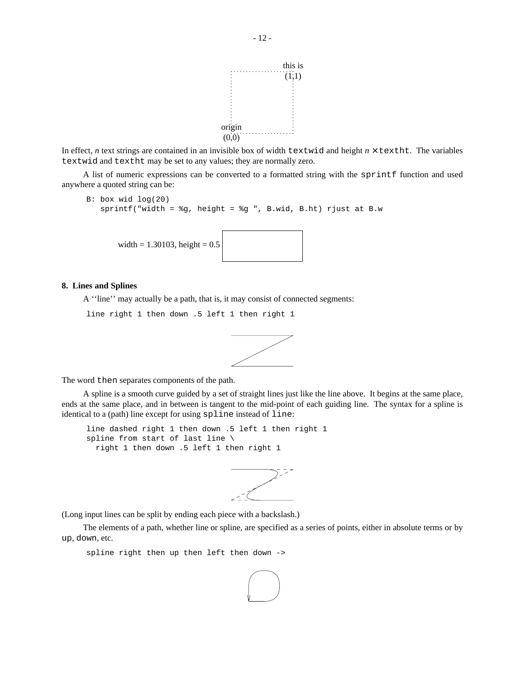

In effect, *n* text strings are contained in an invisible box of width textwid and height  $n \times$  textht. The variables textwid and textht may be set to any values; they are normally zero.

A list of numeric expressions can be converted to a formatted string with the sprintf function and used anywhere a quoted string can be:

```
B: box wid log(20)
   sprintf("width = %g, height = %g ", B.wid, B.ht) rjust at B.w
       width = 1.30103, height = 0.5
```
### **8. Lines and Splines**

A ''line'' may actually be a path, that is, it may consist of connected segments:

line right 1 then down .5 left 1 then right 1



The word then separates components of the path.

A spline is a smooth curve guided by a set of straight lines just like the line above. It begins at the same place, ends at the same place, and in between is tangent to the mid-point of each guiding line. The syntax for a spline is identical to a (path) line except for using spline instead of line:

line dashed right 1 then down .5 left 1 then right 1 spline from start of last line \ right 1 then down .5 left 1 then right 1



(Long input lines can be split by ending each piece with a backslash.)

The elements of a path, whether line or spline, are specified as a series of points, either in absolute terms or by up, down, etc.

spline right then up then left then down ->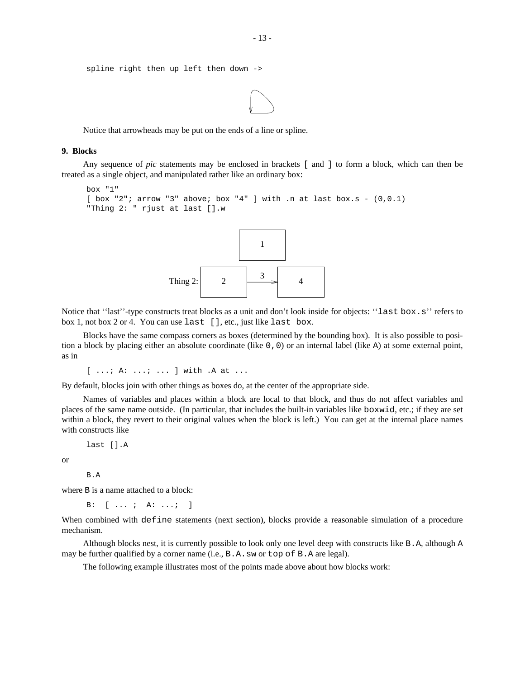```
spline right then up left then down ->
```


Notice that arrowheads may be put on the ends of a line or spline.

## **9. Blocks**

Any sequence of *pic* statements may be enclosed in brackets [ and ] to form a block, which can then be treated as a single object, and manipulated rather like an ordinary box:

```
box "1"
[ box "2"; arrow "3" above; box "4" ] with .n at last box.s - (0,0.1)
"Thing 2: " rjust at last [].w
```


Notice that "last"-type constructs treat blocks as a unit and don't look inside for objects: "last box.s" refers to box 1, not box 2 or 4. You can use last [], etc., just like last box.

Blocks have the same compass corners as boxes (determined by the bounding box). It is also possible to position a block by placing either an absolute coordinate (like 0,0) or an internal label (like A) at some external point, as in

[ ...; A: ...; ... ] with .A at ...

By default, blocks join with other things as boxes do, at the center of the appropriate side.

Names of variables and places within a block are local to that block, and thus do not affect variables and places of the same name outside. (In particular, that includes the built-in variables like boxwid, etc.; if they are set within a block, they revert to their original values when the block is left.) You can get at the internal place names with constructs like

last [].A

or

B.A

where B is a name attached to a block:

B: [ ... ; A: ...; ]

When combined with define statements (next section), blocks provide a reasonable simulation of a procedure mechanism.

Although blocks nest, it is currently possible to look only one level deep with constructs like B.A, although A may be further qualified by a corner name (i.e., B.A.sw or top of B.A are legal).

The following example illustrates most of the points made above about how blocks work: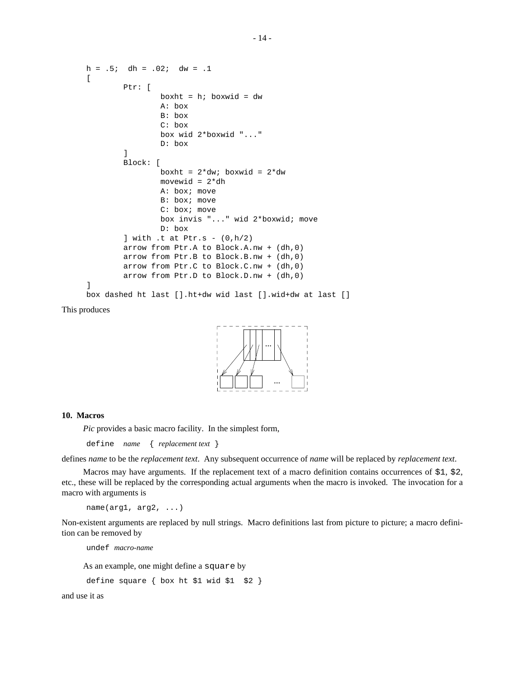```
h = .5; dh = .02; dw = .1\GammaPtr: [
                boxht = h; boxwid = dw
                A: box
                B: box
                C: box
                box wid 2*boxwid "..."
                D: box
        ]
        Block: [
                boxht = 2*dw; boxwid = 2*dw
                movewid = 2*dh
                A: box; move
                B: box; move
                C: box; move
                box invis "..." wid 2*boxwid; move
                D: box
        ] with .t at Ptr.s - (0,h/2)arrow from Ptr.A to Block.A.nw + (dh,0)
        arrow from Ptr.B to Block.B.nw + (dh,0)
        arrow from Ptr.C to Block.C.nw + (dh,0)
        arrow from Ptr.D to Block.D.nw + (dh,0)
]
box dashed ht last [].ht+dw wid last [].wid+dw at last []
```
This produces



## **10. Macros**

*Pic* provides a basic macro facility. In the simplest form,

define *name* { *replacement text* }

defines *name* to be the *replacement text*. Any subsequent occurrence of *name* will be replaced by *replacement text*.

Macros may have arguments. If the replacement text of a macro definition contains occurrences of  $$1, $2,$ etc., these will be replaced by the corresponding actual arguments when the macro is invoked. The invocation for a macro with arguments is

```
name(arg1, arg2, ...)
```
Non-existent arguments are replaced by null strings. Macro definitions last from picture to picture; a macro definition can be removed by

undef *macro-name*

As an example, one might define a square by

```
define square { box ht $1 wid $1 $2 }
```
and use it as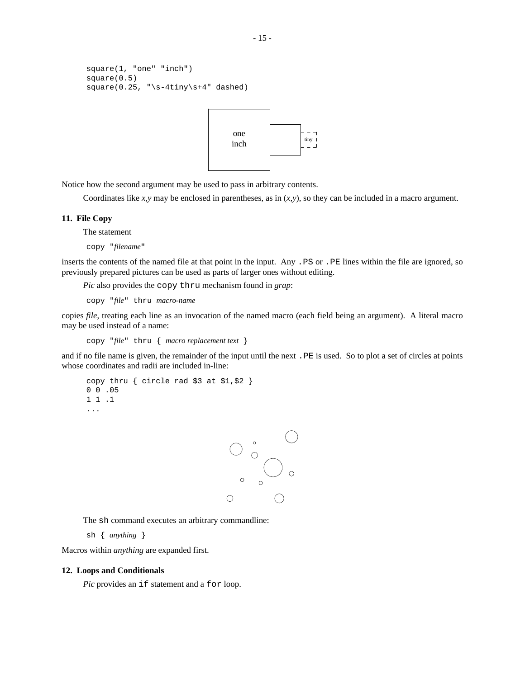```
square(1, "one" "inch")
square(0.5)
square(0.25, "\s-4tiny\s+4" dashed)
```


Notice how the second argument may be used to pass in arbitrary contents.

Coordinates like *x,y* may be enclosed in parentheses, as in (*x,y*), so they can be included in a macro argument.

## **11. File Copy**

The statement

copy "*filename*"

inserts the contents of the named file at that point in the input. Any .PS or .PE lines within the file are ignored, so previously prepared pictures can be used as parts of larger ones without editing.

*Pic* also provides the copy thru mechanism found in *grap*:

copy "*file*" thru *macro-name*

copies *file*, treating each line as an invocation of the named macro (each field being an argument). A literal macro may be used instead of a name:

copy "*file*" thru { *macro replacement text* }

and if no file name is given, the remainder of the input until the next .PE is used. So to plot a set of circles at points whose coordinates and radii are included in-line:

```
copy thru { circle rad $3 at $1,$2 }
0 0 .05
1 1 .1
...
```


The sh command executes an arbitrary commandline:

sh { *anything* }

Macros within *anything* are expanded first.

## **12. Loops and Conditionals**

*Pic* provides an if statement and a for loop.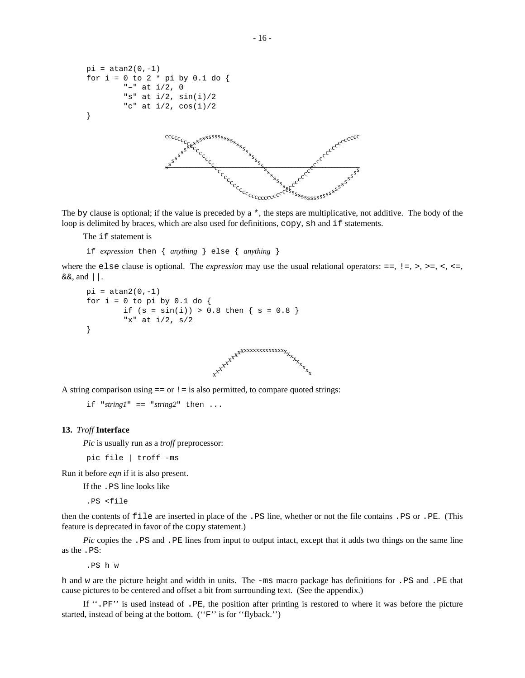```
pi = \tan 2(0, -1)for i = 0 to 2 * pi by 0.1 do {
                    "–" at i/2, 0
                    "s" at i/2, sin(i)/2
                    "c" at i/2, cos(i)/2}
                                           – s
                                           c
                                             –
s
                                             c
                                              –
s
                                              c
                                                –
                                                s
                                                c
                                                  –
                                                  s
                                                  c
                                                   –
                                                    s
                                                    c
                                                     –
                                                     s
                                                     c
                                                       –
                                                       s
c
                                                        –
                                                         cs
                                                          –
                                                          s
c
                                                            –
                                                            s
                                                            c
                                                             –
                                                              s
                                                              c
                                                               –
                                                               s
                                                               c
                                                                 –
                                                                 s
                                                                 c
                                                                  –
                                                                   s
                                                                   c_cs
                                                                    \frac{c}{c}s
                                                                      c_{\alpha}s
                                                                        \overline{c}s
                                                                         c
                                                                           –
                                                                           s
                                                                           c
                                                                             –
                                                                             s
                                                                             c
                                                                              –
                                                                              s
                                                                              c
                                                                                –
                                                                                s
                                                                                c
                                                                                  –
                                                                                  s
                                                                                  c<sub>c</sup>c<sub>cccccc</sub>cc</sub>
                                                                                   –
                                                                                   s
                                                                                     –
                                                                                     s
                                                                                       –
                                                                                       s
                                                                                        –
                                                                                        s
                                                                                          –
                                                                                          s
                                                                                            –
                                                                                            s
                                                                                             –
                                                                                              s
                                                                                               –s
                                                                                                 –s
                                                                                                  –
                                                                                                   s
                                                                                                    –
                                                                                                    s
                                                                                                      –
                                                                                                      s
                                                                                                       –
                                                                                                        s
                                                                                                         –
                                                                                                         s
                                                                                                         c
                                                                                                           –
                                                                                                           \frac{s}{c}eg
                                                                                                            –
                                                                                                              –
                                                                                                              c
                                                                                                                –
                                                                                                                s
                                                                                                                c
                                                                                                                 –
                                                                                                                  s
                                                                                                                  c
                                                                                                                   –
                                                                                                                   s
                                                                                                                   c
                                                                                                                     –
                                                                                                                     s
                                                                                                                     c
                                                                                                                      –
                                                                                                                       s
                                                                                                                       \overline{c^c}s
                                                                                                                        \overline{c}e^{c^{\mathcal{C}}}}ec ssess<sup>ssssss</sup>ss<sup>ssss</sup>
                                                                                                                               c
                                                                                                                                –
                                                                                                                                 c
                                                                                                                                  –
                                                                                                                                  c
                                                                                                                                    –
                                                                                                                                    c
                                                                                                                                     –
                                                                                                                                      c
                                                                                                                                       –
                                                                                                                                       c
                                                                                                                                         –
                                                                                                                                         c
                                                                                                                                           –
                                                                                                                                           c
                                                                                                                                            –
                                                                                                                                            c
                                                                                                                                              –
                                                                                                                                              c
                                                                                                                                                –
                                                                                                                                                c
                                                                                                                                                 –
                                                                                                                                                 c
c
```
The by clause is optional; if the value is preceded by  $a \star$ , the steps are multiplicative, not additive. The body of the loop is delimited by braces, which are also used for definitions, copy, sh and if statements.

The if statement is

if *expression* then { *anything* } else { *anything* }

where the else clause is optional. The *expression* may use the usual relational operators:  $=$ ,  $\geq$ ,  $\geq$ ,  $\geq$ ,  $\lt$ ,  $\lt$ =,  $&\&\&$ , and  $||.$ 

```
pi = \tan 2(0, -1)for i = 0 to pi by 0.1 do {
        if (s = sin(i)) > 0.8 then \{ s = 0.8 \}"x" at i/2, s/2
}
```


A string comparison using  $==$  or  $!=$  is also permitted, to compare quoted strings:

```
if "string1" == "string2" then ...
```
### **13.** *Troff* **Interface**

*Pic* is usually run as a *troff* preprocessor:

pic file | troff -ms

Run it before *eqn* if it is also present.

If the .PS line looks like

.PS <file

then the contents of file are inserted in place of the .PS line, whether or not the file contains .PS or .PE. (This feature is deprecated in favor of the copy statement.)

*Pic* copies the . PS and . PE lines from input to output intact, except that it adds two things on the same line as the .PS:

.PS h w

h and w are the picture height and width in units. The -ms macro package has definitions for .PS and .PE that cause pictures to be centered and offset a bit from surrounding text. (See the appendix.)

If ''.PF'' is used instead of .PE, the position after printing is restored to where it was before the picture started, instead of being at the bottom. (''F'' is for ''flyback.'')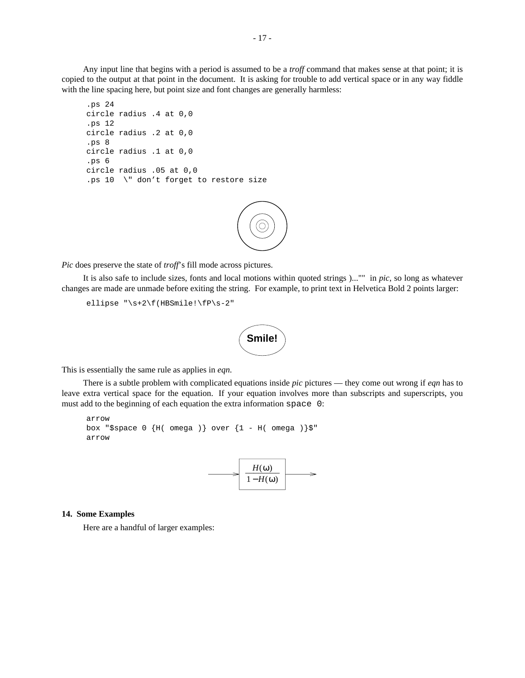Any input line that begins with a period is assumed to be a *troff* command that makes sense at that point; it is copied to the output at that point in the document. It is asking for trouble to add vertical space or in any way fiddle with the line spacing here, but point size and font changes are generally harmless:

```
.ps 24
circle radius .4 at 0,0
.ps 12
circle radius .2 at 0,0
.ps 8
circle radius .1 at 0,0
.ps 6
circle radius .05 at 0,0
.ps 10 \" don't forget to restore size
```


*Pic* does preserve the state of *troff*'s fill mode across pictures.

It is also safe to include sizes, fonts and local motions within quoted strings )..."" in *pic*, so long as whatever changes are made are unmade before exiting the string. For example, to print text in Helvetica Bold 2 points larger:

ellipse "\s+2\f(HBSmile!\fP\s-2"



This is essentially the same rule as applies in *eqn*.

There is a subtle problem with complicated equations inside *pic* pictures — they come out wrong if *eqn* has to leave extra vertical space for the equation. If your equation involves more than subscripts and superscripts, you must add to the beginning of each equation the extra information space 0:

```
arrow
box "$space 0 \{H(\text{omega})\} over \{1 - H(\text{omega})\}"
arrow
```


## **14. Some Examples**

Here are a handful of larger examples: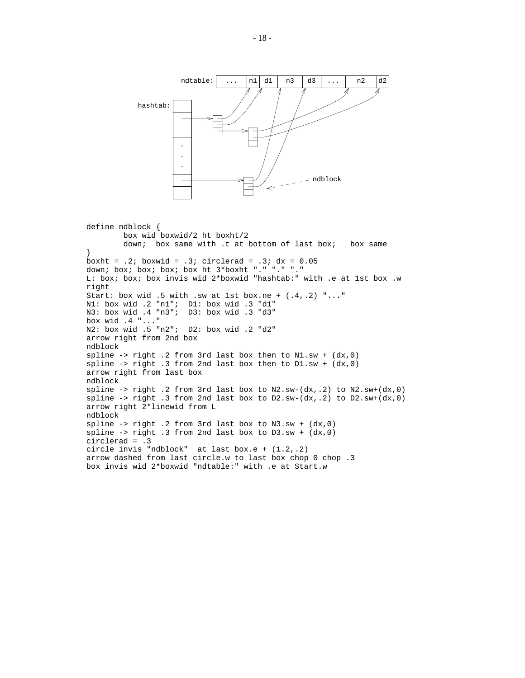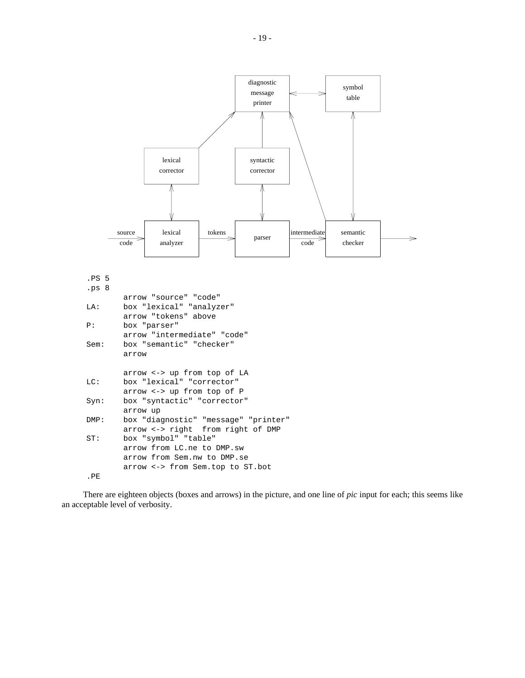

There are eighteen objects (boxes and arrows) in the picture, and one line of *pic* input for each; this seems like an acceptable level of verbosity.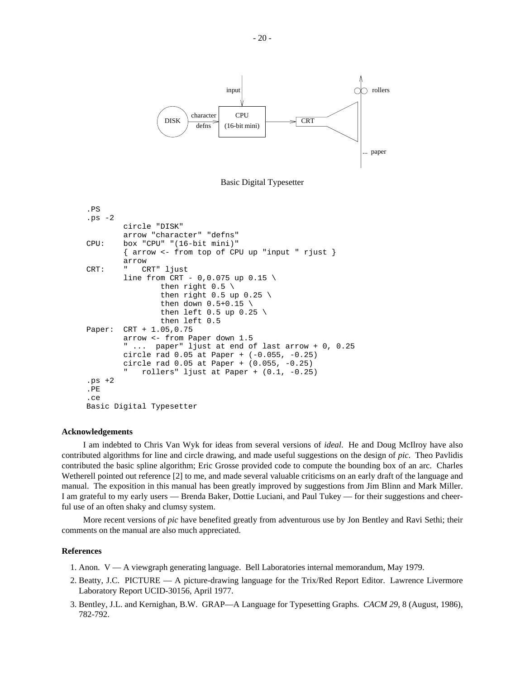



```
.PS
.ps -2
        circle "DISK"
        arrow "character" "defns"
CPU: box "CPU" "(16-bit mini)"
        { arrow <- from top of CPU up "input " rjust }
        arrow
CRT: " CRT" ljust
        line from CRT - 0, 0.075 up 0.15then right 0.5 \setminusthen right 0.5 up 0.25 \
                then down 0.5+0.15then left 0.5 up 0.25then left 0.5
Paper: CRT + 1.05,0.75
        arrow <- from Paper down 1.5
        " ... paper" ljust at end of last arrow + 0, 0.25
        circle rad 0.05 at Paper + (-0.055, -0.25)
        circle rad 0.05 at Paper + (0.055, -0.25)
           rollers" ljust at Paper + (0.1, -0.25).pys + 2.PE
.ce
Basic Digital Typesetter
```
## **Acknowledgements**

I am indebted to Chris Van Wyk for ideas from several versions of *ideal*. He and Doug McIlroy have also contributed algorithms for line and circle drawing, and made useful suggestions on the design of *pic*. Theo Pavlidis contributed the basic spline algorithm; Eric Grosse provided code to compute the bounding box of an arc. Charles Wetherell pointed out reference [2] to me, and made several valuable criticisms on an early draft of the language and manual. The exposition in this manual has been greatly improved by suggestions from Jim Blinn and Mark Miller. I am grateful to my early users — Brenda Baker, Dottie Luciani, and Paul Tukey — for their suggestions and cheerful use of an often shaky and clumsy system.

More recent versions of *pic* have benefited greatly from adventurous use by Jon Bentley and Ravi Sethi; their comments on the manual are also much appreciated.

## **References**

- 1. Anon. V A viewgraph generating language. Bell Laboratories internal memorandum, May 1979.
- 2. Beatty, J.C. PICTURE A picture-drawing language for the Trix/Red Report Editor. Lawrence Livermore Laboratory Report UCID-30156, April 1977.
- 3. Bentley, J.L. and Kernighan, B.W. GRAP—A Language for Typesetting Graphs. *CACM 29*, 8 (August, 1986), 782-792.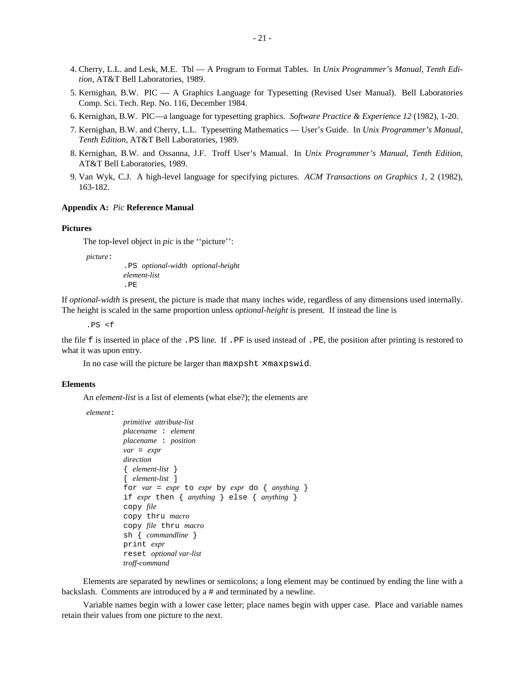- 4. Cherry, L.L. and Lesk, M.E. Tbl A Program to Format Tables. In *Unix Programmer's Manual, Tenth Edition*, AT&T Bell Laboratories, 1989.
- 5. Kernighan, B.W. PIC A Graphics Language for Typesetting (Revised User Manual). Bell Laboratories Comp. Sci. Tech. Rep. No. 116, December 1984.
- 6. Kernighan, B.W. PIC—a language for typesetting graphics. *Software Practice & Experience 12* (1982), 1-20.
- 7. Kernighan, B.W. and Cherry, L.L. Typesetting Mathematics User's Guide. In *Unix Programmer's Manual, Tenth Edition*, AT&T Bell Laboratories, 1989.
- 8. Kernighan, B.W. and Ossanna, J.F. Troff User's Manual. In *Unix Programmer's Manual, Tenth Edition*, AT&T Bell Laboratories, 1989.
- 9. Van Wyk, C.J. A high-level language for specifying pictures. *ACM Transactions on Graphics 1*, 2 (1982), 163-182.

### **Appendix A:** *Pic* **Reference Manual**

### **Pictures**

The top-level object in *pic* is the ''picture'':

*picture*:

.PS *optional-width optional-height element-list* .PE

If *optional-width* is present, the picture is made that many inches wide, regardless of any dimensions used internally. The height is scaled in the same proportion unless *optional-height* is present. If instead the line is

.PS <f

the file f is inserted in place of the .PS line. If .PF is used instead of .PE, the position after printing is restored to what it was upon entry.

In no case will the picture be larger than maxpsht  $\times$  maxpswid.

#### **Elements**

An *element-list* is a list of elements (what else?); the elements are

*element*:

```
primitive attribute-list
placename : element
placename : position
var = expr
direction
{ element-list }
[ element-list ]
for var = expr to expr by expr do \{anything\}if expr then { anything } else { anything }
copy file
copy thru macro
copy file thru macro
sh { commandline }
print expr
reset optional var-list
troff-command
```
Elements are separated by newlines or semicolons; a long element may be continued by ending the line with a backslash. Comments are introduced by a # and terminated by a newline.

Variable names begin with a lower case letter; place names begin with upper case. Place and variable names retain their values from one picture to the next.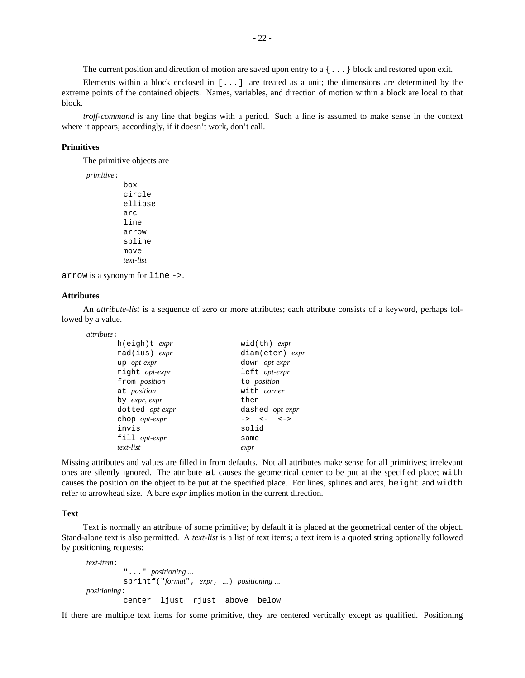The current position and direction of motion are saved upon entry to a  $\{\ldots\}$  block and restored upon exit.

Elements within a block enclosed in [...] are treated as a unit; the dimensions are determined by the extreme points of the contained objects. Names, variables, and direction of motion within a block are local to that block.

*troff-command* is any line that begins with a period. Such a line is assumed to make sense in the context where it appears; accordingly, if it doesn't work, don't call.

## **Primitives**

The primitive objects are

*primitive*:

```
box
circle
ellipse
arc
line
arrow
spline
move
text-list
```
arrow is a synonym for line ->.

#### **Attributes**

An *attribute-list* is a sequence of zero or more attributes; each attribute consists of a keyword, perhaps followed by a value.

#### *attribute*:

| h(eigh)t <i>expr</i>         | $wid(th)$ <i>expr</i> |
|------------------------------|-----------------------|
| rad(ius) expr                | diam(eter) expr       |
| up opt-expr                  | down <i>opt-expr</i>  |
| right opt-expr               | left opt-expr         |
| from <i>position</i>         | to position           |
| at <i>position</i>           | with <i>corner</i>    |
| by <i>expr</i> , <i>expr</i> | then                  |
| dotted opt-expr              | dashed opt-expr       |
| chop <i>opt-expr</i>         | $-> < - < - < - >$    |
| invis                        | solid                 |
| fill opt-expr                | same                  |
| text-list                    | expr                  |

Missing attributes and values are filled in from defaults. Not all attributes make sense for all primitives; irrelevant ones are silently ignored. The attribute at causes the geometrical center to be put at the specified place; with causes the position on the object to be put at the specified place. For lines, splines and arcs, height and width refer to arrowhead size. A bare *expr* implies motion in the current direction.

## **Text**

Text is normally an attribute of some primitive; by default it is placed at the geometrical center of the object. Stand-alone text is also permitted. A *text-list* is a list of text items; a text item is a quoted string optionally followed by positioning requests:

```
text-item:
          "..." positioning ...
         sprintf("format", expr, ...) positioning ...
positioning:
         center ljust rjust above below
```
If there are multiple text items for some primitive, they are centered vertically except as qualified. Positioning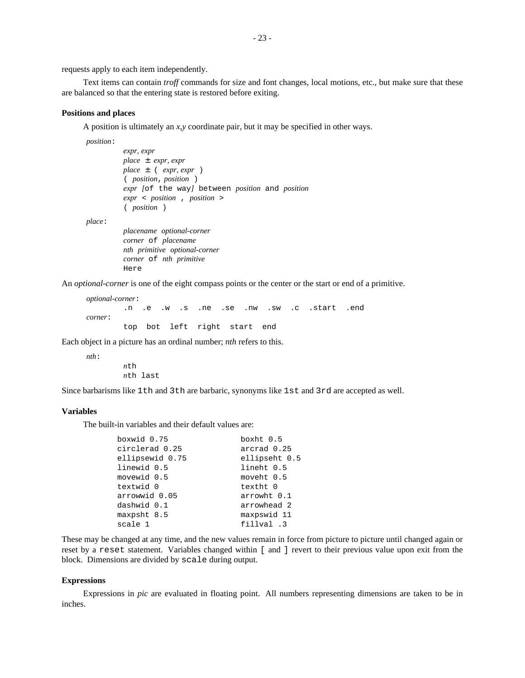requests apply to each item independently.

Text items can contain *troff* commands for size and font changes, local motions, etc., but make sure that these are balanced so that the entering state is restored before exiting.

### **Positions and places**

A position is ultimately an *x,y* coordinate pair, but it may be specified in other ways.

*position*:

```
expr, expr
place ± expr, expr
place ± ( expr, expr )
( position, position )
expr [of the way] between position and position
expr < position , position >
( position )
placename optional-corner
```
*place*:

*corner* of *placename nth primitive optional-corner corner* of *nth primitive* Here

An *optional-corner* is one of the eight compass points or the center or the start or end of a primitive.

```
optional-corner:
       .n .e .w .s .ne .se .nw .sw .c .start .end
corner:
       top bot left right start end
```
Each object in a picture has an ordinal number; *nth* refers to this.

*nth*:

*n*th last

*n*th

Since barbarisms like 1th and 3th are barbaric, synonyms like 1st and 3rd are accepted as well.

#### **Variables**

The built-in variables and their default values are:

| boxwid 0.75     | boxht $0.5$   |
|-----------------|---------------|
| circlerad 0.25  | arcrad 0.25   |
| ellipsewid 0.75 | ellipseht 0.5 |
| linewid 0.5     | lineht 0.5    |
| movewid 0.5     | moveht 0.5    |
| textwid 0       | textht 0      |
| arrowwid 0.05   | arrowht 0.1   |
| dashwid 0.1     | arrowhead 2   |
| maxpsht 8.5     | maxpswid 11   |
| scale 1         | fillval .3    |

These may be changed at any time, and the new values remain in force from picture to picture until changed again or reset by a reset statement. Variables changed within [ and ] revert to their previous value upon exit from the block. Dimensions are divided by scale during output.

#### **Expressions**

Expressions in *pic* are evaluated in floating point. All numbers representing dimensions are taken to be in inches.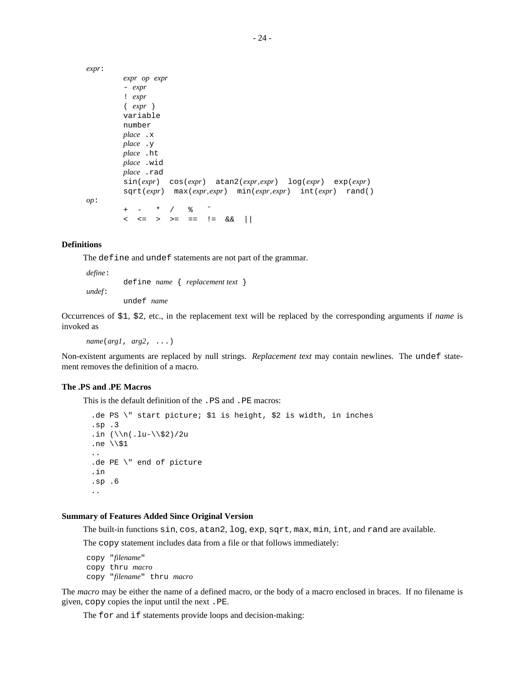```
expr:
        expr op expr
        - expr
        ! expr
        ( expr )
        variable
        number
        place .x
        place .y
        place .ht
        place .wid
        place .rad
        sin(expr) cos(expr) atan2(expr,expr) log(expr) exp(expr)
        sqrt(expr) max(expr,expr) min(expr,expr) int(expr) rand()
op:
           + - * / % ˆ
        < <= > >= == != && ||
```
## **Definitions**

The define and undef statements are not part of the grammar.

```
define:
         define name { replacement text }
undef:
         undef name
```
Occurrences of \$1, \$2, etc., in the replacement text will be replaced by the corresponding arguments if *name* is invoked as

*name*(*arg1*, *arg2*, ...)

Non-existent arguments are replaced by null strings. *Replacement text* may contain newlines. The undef statement removes the definition of a macro.

## **The .PS and .PE Macros**

This is the default definition of the .PS and .PE macros:

```
.de PS \" start picture; $1 is height, $2 is width, in inches
.sp .3
.in (\n\ln(\ln\frac{\xi}{2})/2u.ne \\$1
..
.de PE \" end of picture
.in
.sp .6
..
```
### **Summary of Features Added Since Original Version**

The built-in functions sin, cos, atan2, log, exp, sqrt, max, min, int, and rand are available.

The copy statement includes data from a file or that follows immediately:

```
copy "filename"
copy thru macro
copy "filename" thru macro
```
The *macro* may be either the name of a defined macro, or the body of a macro enclosed in braces. If no filename is given, copy copies the input until the next .PE.

The for and if statements provide loops and decision-making: